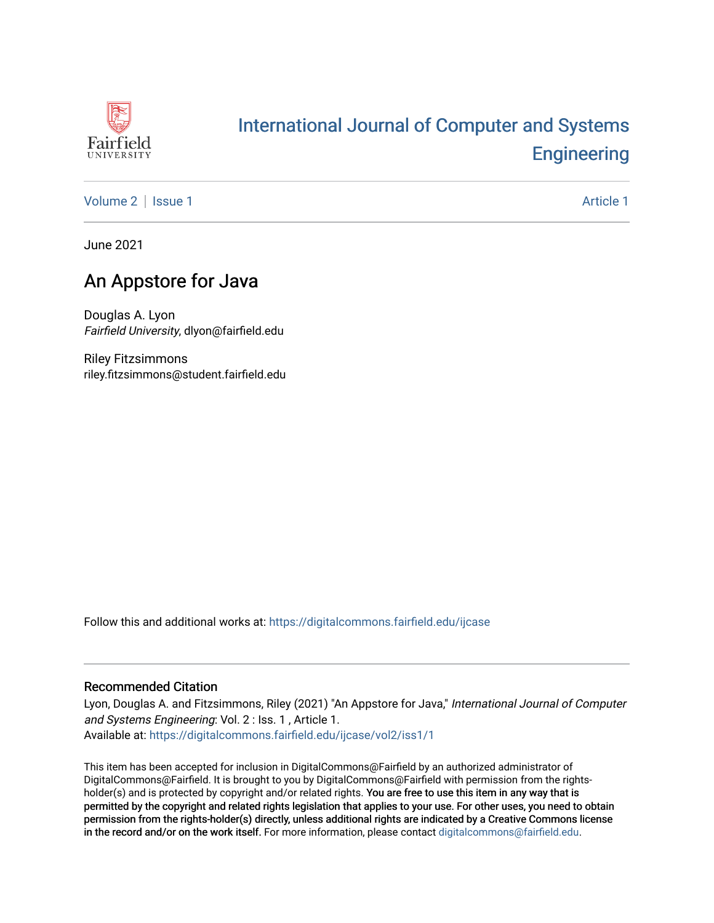

# [International Journal of Computer and Systems](https://digitalcommons.fairfield.edu/ijcase)  **Engineering**

[Volume 2](https://digitalcommons.fairfield.edu/ijcase/vol2) | [Issue 1](https://digitalcommons.fairfield.edu/ijcase/vol2/iss1) Article 1

June 2021

# An Appstore for Java

Douglas A. Lyon Fairfield University, dlyon@fairfield.edu

Riley Fitzsimmons riley.fitzsimmons@student.fairfield.edu

Follow this and additional works at: [https://digitalcommons.fairfield.edu/ijcase](https://digitalcommons.fairfield.edu/ijcase?utm_source=digitalcommons.fairfield.edu%2Fijcase%2Fvol2%2Fiss1%2F1&utm_medium=PDF&utm_campaign=PDFCoverPages) 

#### Recommended Citation

Lyon, Douglas A. and Fitzsimmons, Riley (2021) "An Appstore for Java," International Journal of Computer and Systems Engineering: Vol. 2 : Iss. 1 , Article 1. Available at: [https://digitalcommons.fairfield.edu/ijcase/vol2/iss1/1](https://digitalcommons.fairfield.edu/ijcase/vol2/iss1/1?utm_source=digitalcommons.fairfield.edu%2Fijcase%2Fvol2%2Fiss1%2F1&utm_medium=PDF&utm_campaign=PDFCoverPages) 

This item has been accepted for inclusion in DigitalCommons@Fairfield by an authorized administrator of DigitalCommons@Fairfield. It is brought to you by DigitalCommons@Fairfield with permission from the rightsholder(s) and is protected by copyright and/or related rights. You are free to use this item in any way that is permitted by the copyright and related rights legislation that applies to your use. For other uses, you need to obtain permission from the rights-holder(s) directly, unless additional rights are indicated by a Creative Commons license in the record and/or on the work itself. For more information, please contact [digitalcommons@fairfield.edu.](mailto:digitalcommons@fairfield.edu)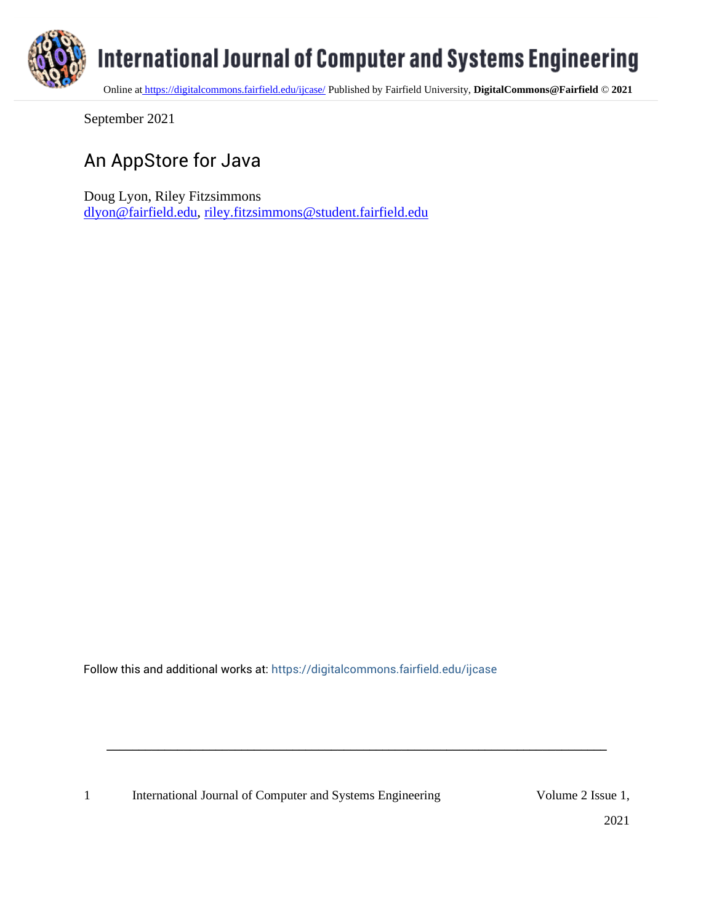

September 2021

# An AppStore for Java

Doug Lyon, Riley Fitzsimmons [dlyon@fairfield.edu,](mailto:dlyon@fairfield.edu) [riley.fitzsimmons@student.fairfield.edu](mailto:riley.fitzsimmons@student.fairfield.edu)

Follow this and additional works at: [https://digitalcommons.fairfield.edu/ijcase](https://digitalcommons.fairfield.edu/ijcase?utm_source=digitalcommons.fairfield.edu%2Fijcase%2Fvol1%2Fiss1%2F3&utm_medium=PDF&utm_campaign=PDFCoverPages) 

**\_\_\_\_\_\_\_\_\_\_\_\_\_\_\_\_\_\_\_\_\_\_\_\_\_\_\_\_\_\_\_\_\_\_\_\_\_\_\_\_\_\_\_\_\_\_\_\_\_\_\_\_\_\_\_\_\_\_\_\_\_\_\_\_\_\_\_\_\_\_\_\_\_\_\_\_\_\_**

1 International Journal of Computer and Systems Engineering Volume 2 Issue 1,

2021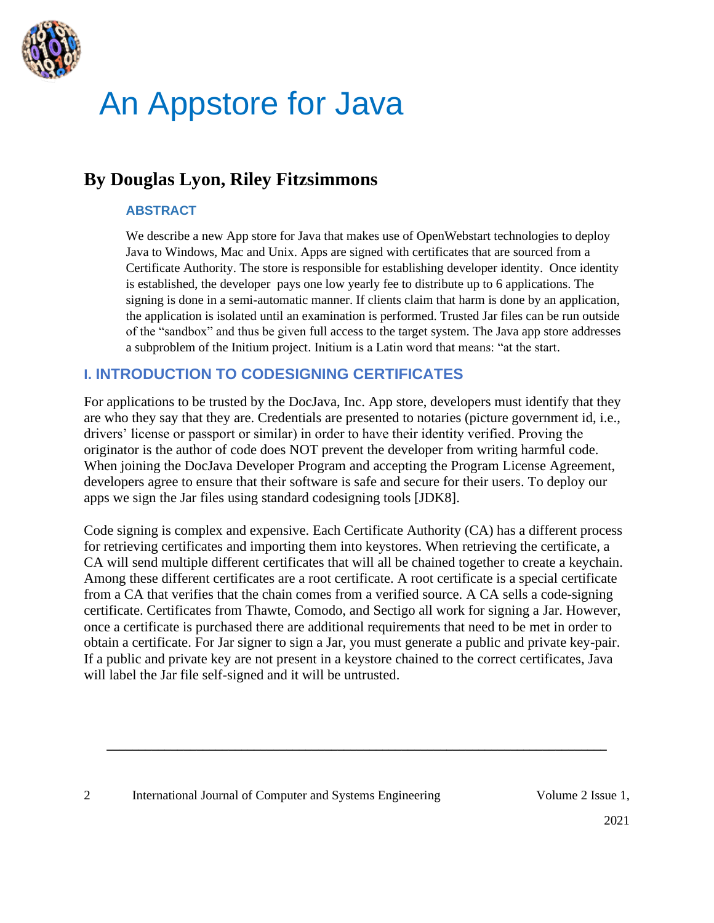

# An Appstore for Java

# **By Douglas Lyon, Riley Fitzsimmons**

#### **ABSTRACT**

We describe a new App store for Java that makes use of OpenWebstart technologies to deploy Java to Windows, Mac and Unix. Apps are signed with certificates that are sourced from a Certificate Authority. The store is responsible for establishing developer identity. Once identity is established, the developer pays one low yearly fee to distribute up to 6 applications. The signing is done in a semi-automatic manner. If clients claim that harm is done by an application, the application is isolated until an examination is performed. Trusted Jar files can be run outside of the "sandbox" and thus be given full access to the target system. The Java app store addresses a subproblem of the Initium project. Initium is a Latin word that means: "at the start.

#### **I. INTRODUCTION TO CODESIGNING CERTIFICATES**

For applications to be trusted by the DocJava, Inc. App store, developers must identify that they are who they say that they are. Credentials are presented to notaries (picture government id, i.e., drivers' license or passport or similar) in order to have their identity verified. Proving the originator is the author of code does NOT prevent the developer from writing harmful code. When joining the DocJava Developer Program and accepting the Program License Agreement, developers agree to ensure that their software is safe and secure for their users. To deploy our apps we sign the Jar files using standard codesigning tools [JDK8].

Code signing is complex and expensive. Each Certificate Authority (CA) has a different process for retrieving certificates and importing them into keystores. When retrieving the certificate, a CA will send multiple different certificates that will all be chained together to create a keychain. Among these different certificates are a root certificate. A root certificate is a special certificate from a CA that verifies that the chain comes from a verified source. A CA sells a code-signing certificate. Certificates from Thawte, Comodo, and Sectigo all work for signing a Jar. However, once a certificate is purchased there are additional requirements that need to be met in order to obtain a certificate. For Jar signer to sign a Jar, you must generate a public and private key-pair. If a public and private key are not present in a keystore chained to the correct certificates, Java will label the Jar file self-signed and it will be untrusted.

**\_\_\_\_\_\_\_\_\_\_\_\_\_\_\_\_\_\_\_\_\_\_\_\_\_\_\_\_\_\_\_\_\_\_\_\_\_\_\_\_\_\_\_\_\_\_\_\_\_\_\_\_\_\_\_\_\_\_\_\_\_\_\_\_\_\_\_\_\_\_\_\_\_\_\_\_\_\_**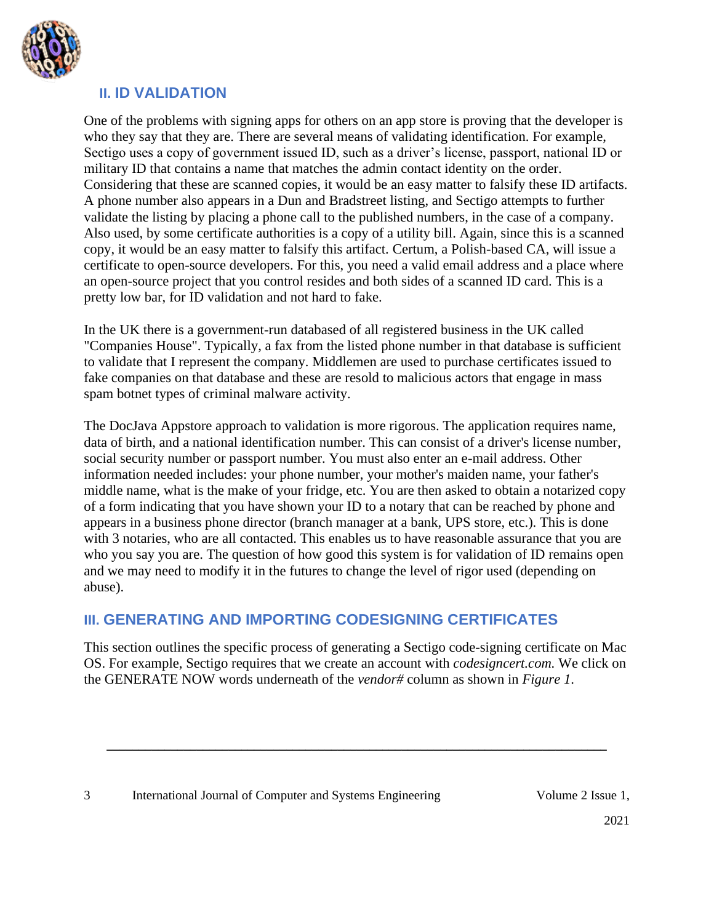

### **II. ID VALIDATION**

One of the problems with signing apps for others on an app store is proving that the developer is who they say that they are. There are several means of validating identification. For example, Sectigo uses a copy of government issued ID, such as a driver's license, passport, national ID or military ID that contains a name that matches the admin contact identity on the order. Considering that these are scanned copies, it would be an easy matter to falsify these ID artifacts. A phone number also appears in a Dun and Bradstreet listing, and Sectigo attempts to further validate the listing by placing a phone call to the published numbers, in the case of a company. Also used, by some certificate authorities is a copy of a utility bill. Again, since this is a scanned copy, it would be an easy matter to falsify this artifact. Certum, a Polish-based CA, will issue a certificate to open-source developers. For this, you need a valid email address and a place where an open-source project that you control resides and both sides of a scanned ID card. This is a pretty low bar, for ID validation and not hard to fake.

In the UK there is a government-run databased of all registered business in the UK called "Companies House". Typically, a fax from the listed phone number in that database is sufficient to validate that I represent the company. Middlemen are used to purchase certificates issued to fake companies on that database and these are resold to malicious actors that engage in mass spam botnet types of criminal malware activity.

The DocJava Appstore approach to validation is more rigorous. The application requires name, data of birth, and a national identification number. This can consist of a driver's license number, social security number or passport number. You must also enter an e-mail address. Other information needed includes: your phone number, your mother's maiden name, your father's middle name, what is the make of your fridge, etc. You are then asked to obtain a notarized copy of a form indicating that you have shown your ID to a notary that can be reached by phone and appears in a business phone director (branch manager at a bank, UPS store, etc.). This is done with 3 notaries, who are all contacted. This enables us to have reasonable assurance that you are who you say you are. The question of how good this system is for validation of ID remains open and we may need to modify it in the futures to change the level of rigor used (depending on abuse).

# **III. GENERATING AND IMPORTING CODESIGNING CERTIFICATES**

This section outlines the specific process of generating a Sectigo code-signing certificate on Mac OS. For example, Sectigo requires that we create an account with *codesigncert.com.* We click on the GENERATE NOW words underneath of the *vendor#* column as shown in *Figure 1*.

**\_\_\_\_\_\_\_\_\_\_\_\_\_\_\_\_\_\_\_\_\_\_\_\_\_\_\_\_\_\_\_\_\_\_\_\_\_\_\_\_\_\_\_\_\_\_\_\_\_\_\_\_\_\_\_\_\_\_\_\_\_\_\_\_\_\_\_\_\_\_\_\_\_\_\_\_\_\_**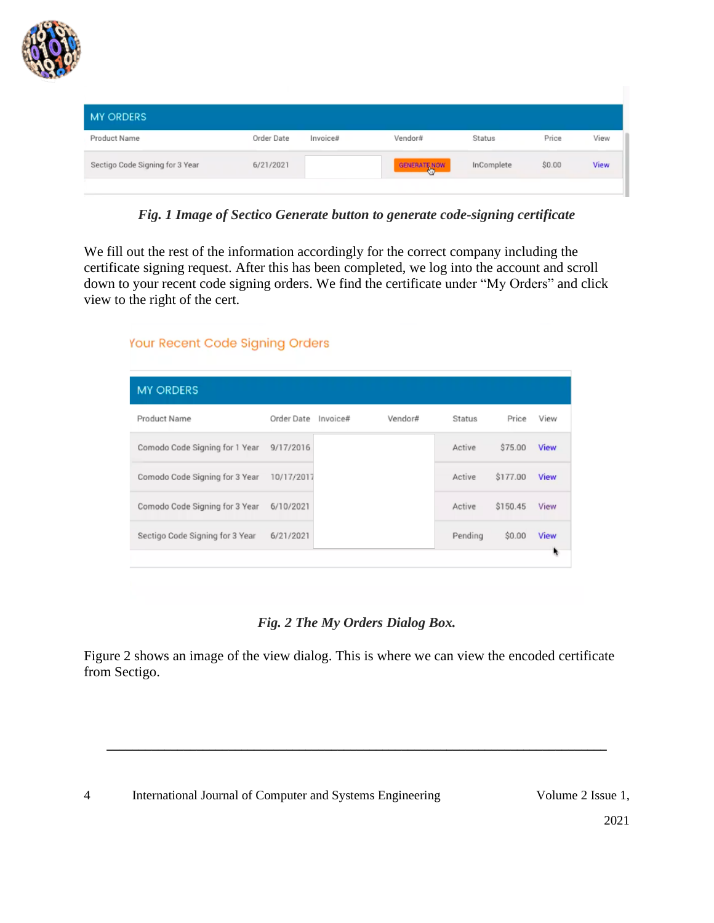

| <b>MY ORDERS</b>                |            |          |              |            |        |      |
|---------------------------------|------------|----------|--------------|------------|--------|------|
| Product Name                    | Order Date | Invoice# | Vendor#      | Status     | Price  | View |
| Sectigo Code Signing for 3 Year | 6/21/2021  |          | GENERATE NOW | InComplete | \$0.00 | View |
|                                 |            |          |              |            |        |      |

*Fig. 1 Image of Sectico Generate button to generate code-signing certificate*

We fill out the rest of the information accordingly for the correct company including the certificate signing request. After this has been completed, we log into the account and scroll down to your recent code signing orders. We find the certificate under "My Orders" and click view to the right of the cert.

| <b>MY ORDERS</b>                |            |          |         |               |          |             |
|---------------------------------|------------|----------|---------|---------------|----------|-------------|
| Product Name                    | Order Date | Invoice# | Vendor# | <b>Status</b> | Price    | View        |
| Comodo Code Signing for 1 Year  | 9/17/2016  |          |         | Active        | \$75.00  | <b>View</b> |
| Comodo Code Signing for 3 Year  | 10/17/2017 |          |         | Active        | \$177.00 | View        |
| Comodo Code Signing for 3 Year  | 6/10/2021  |          |         | Active        | \$150.45 | View        |
| Sectigo Code Signing for 3 Year | 6/21/2021  |          |         | Pending       | \$0.00   | View        |

#### *Fig. 2 The My Orders Dialog Box.*

Figure 2 shows an image of the view dialog. This is where we can view the encoded certificate from Sectigo.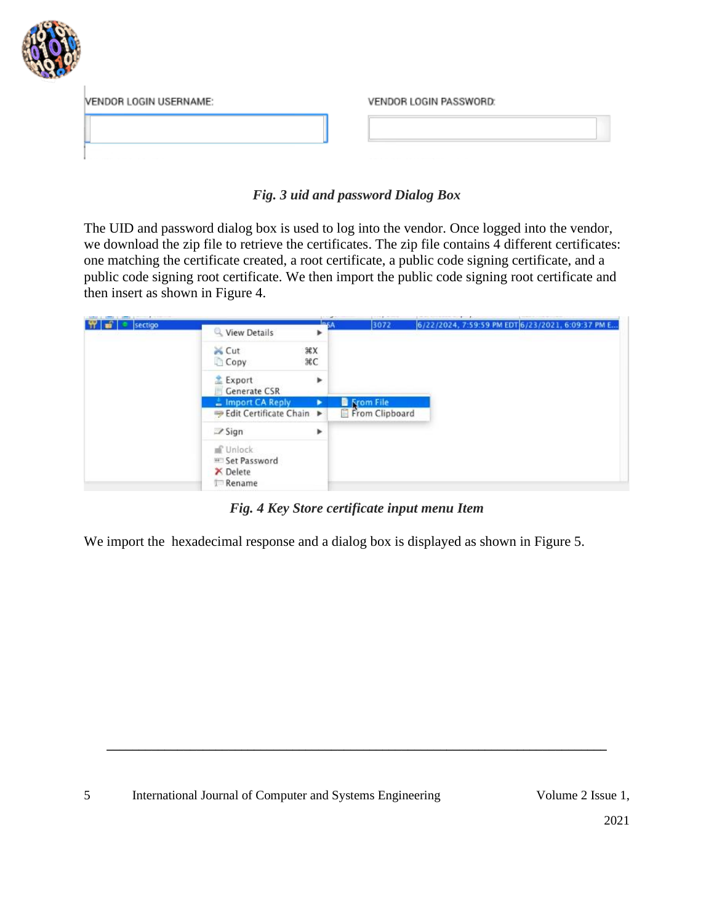

| VENDOR LOGIN USERNAME: | VENDOR LOGIN PASSWORD: |
|------------------------|------------------------|
|                        |                        |
|                        |                        |

#### *Fig. 3 uid and password Dialog Box*

The UID and password dialog box is used to log into the vendor. Once logged into the vendor, we download the zip file to retrieve the certificates. The zip file contains 4 different certificates: one matching the certificate created, a root certificate, a public code signing certificate, and a public code signing root certificate. We then import the public code signing root certificate and then insert as shown in Figure 4.



*Fig. 4 Key Store certificate input menu Item*

**\_\_\_\_\_\_\_\_\_\_\_\_\_\_\_\_\_\_\_\_\_\_\_\_\_\_\_\_\_\_\_\_\_\_\_\_\_\_\_\_\_\_\_\_\_\_\_\_\_\_\_\_\_\_\_\_\_\_\_\_\_\_\_\_\_\_\_\_\_\_\_\_\_\_\_\_\_\_**

We import the hexadecimal response and a dialog box is displayed as shown in Figure 5.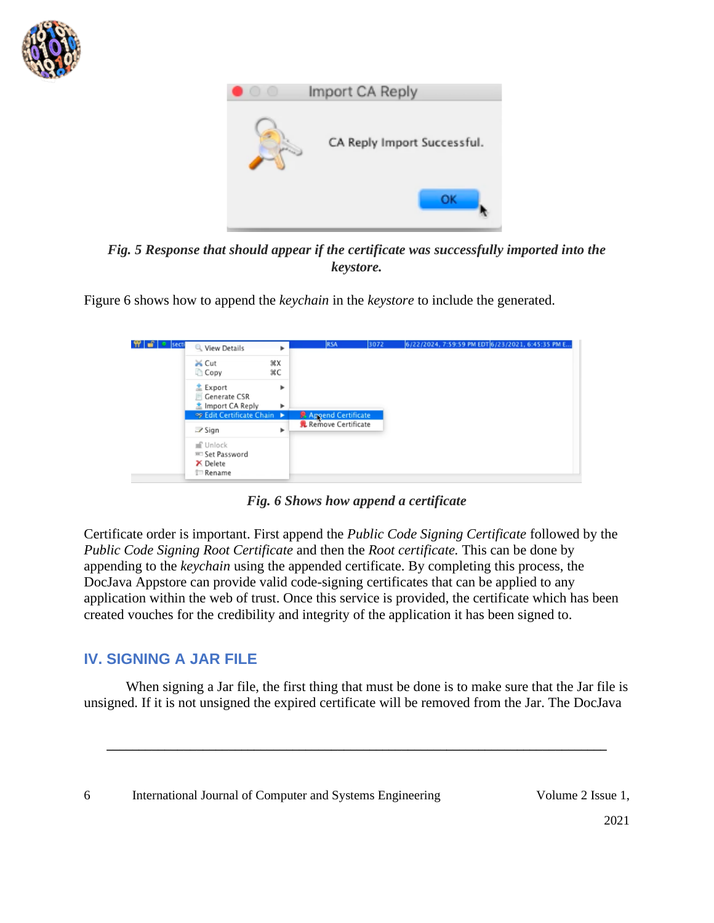



*Fig. 5 Response that should appear if the certificate was successfully imported into the keystore.*

Figure 6 shows how to append the *keychain* in the *keystore* to include the generated.



*Fig. 6 Shows how append a certificate*

Certificate order is important. First append the *Public Code Signing Certificate* followed by the *Public Code Signing Root Certificate* and then the *Root certificate.* This can be done by appending to the *keychain* using the appended certificate. By completing this process, the DocJava Appstore can provide valid code-signing certificates that can be applied to any application within the web of trust. Once this service is provided, the certificate which has been created vouches for the credibility and integrity of the application it has been signed to.

# **IV. SIGNING A JAR FILE**

When signing a Jar file, the first thing that must be done is to make sure that the Jar file is unsigned. If it is not unsigned the expired certificate will be removed from the Jar. The DocJava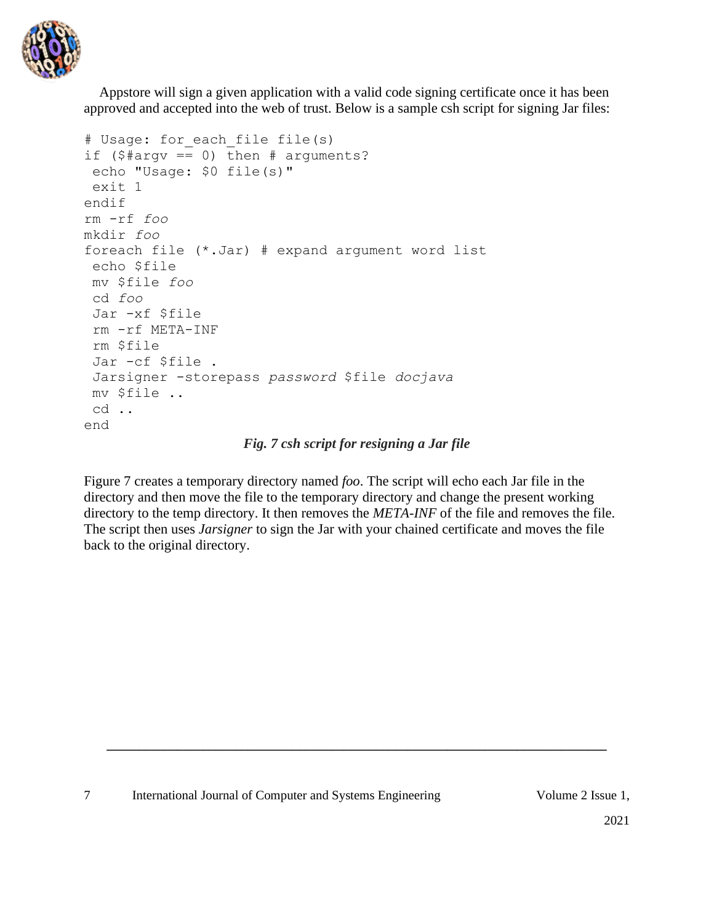

Appstore will sign a given application with a valid code signing certificate once it has been approved and accepted into the web of trust. Below is a sample csh script for signing Jar files:

```
# Usage: for each file file(s)
if (\frac{5 \text{ }}{4 \text{ }} \text{ erg} \text{ } = 0) then # arguments?
 echo "Usage: $0 file(s)"
 exit 1
endif
rm -rf foo
mkdir foo
foreach file (*.Jar) # expand argument word list
 echo $file
mv $file foo
 cd foo
 Jar -xf $file 
 rm -rf META-INF
 rm $file
 Jar -cf $file .
 Jarsigner -storepass password $file docjava
mv $file ..
 cd ..
end
```
#### *Fig. 7 csh script for resigning a Jar file*

Figure 7 creates a temporary directory named *foo*. The script will echo each Jar file in the directory and then move the file to the temporary directory and change the present working directory to the temp directory. It then removes the *META-INF* of the file and removes the file. The script then uses *Jarsigner* to sign the Jar with your chained certificate and moves the file back to the original directory.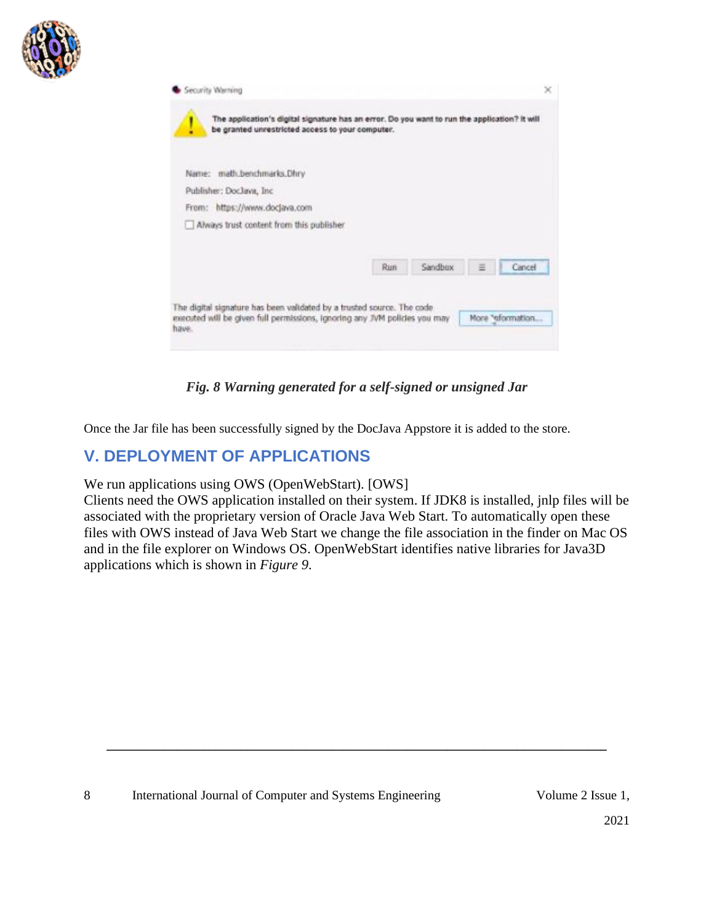

|       |                               |                                          | be granted unrestricted access to your computer. |         |        |
|-------|-------------------------------|------------------------------------------|--------------------------------------------------|---------|--------|
| Name: | math.benchmarks.Dhry          |                                          |                                                  |         |        |
|       | Publisher: DocJava, Inc.      |                                          |                                                  |         |        |
|       | From: https://www.docjava.com |                                          |                                                  |         |        |
|       |                               | Always trust content from this publisher |                                                  |         |        |
|       |                               |                                          |                                                  |         |        |
|       |                               |                                          | Run                                              | Sandbox | Cancel |
|       |                               |                                          |                                                  |         |        |

*Fig. 8 Warning generated for a self-signed or unsigned Jar*

Once the Jar file has been successfully signed by the DocJava Appstore it is added to the store.

# **V. DEPLOYMENT OF APPLICATIONS**

We run applications using OWS (OpenWebStart). [OWS]

Clients need the OWS application installed on their system. If JDK8 is installed, jnlp files will be associated with the proprietary version of Oracle Java Web Start. To automatically open these files with OWS instead of Java Web Start we change the file association in the finder on Mac OS and in the file explorer on Windows OS. OpenWebStart identifies native libraries for Java3D applications which is shown in *Figure 9*.

**\_\_\_\_\_\_\_\_\_\_\_\_\_\_\_\_\_\_\_\_\_\_\_\_\_\_\_\_\_\_\_\_\_\_\_\_\_\_\_\_\_\_\_\_\_\_\_\_\_\_\_\_\_\_\_\_\_\_\_\_\_\_\_\_\_\_\_\_\_\_\_\_\_\_\_\_\_\_**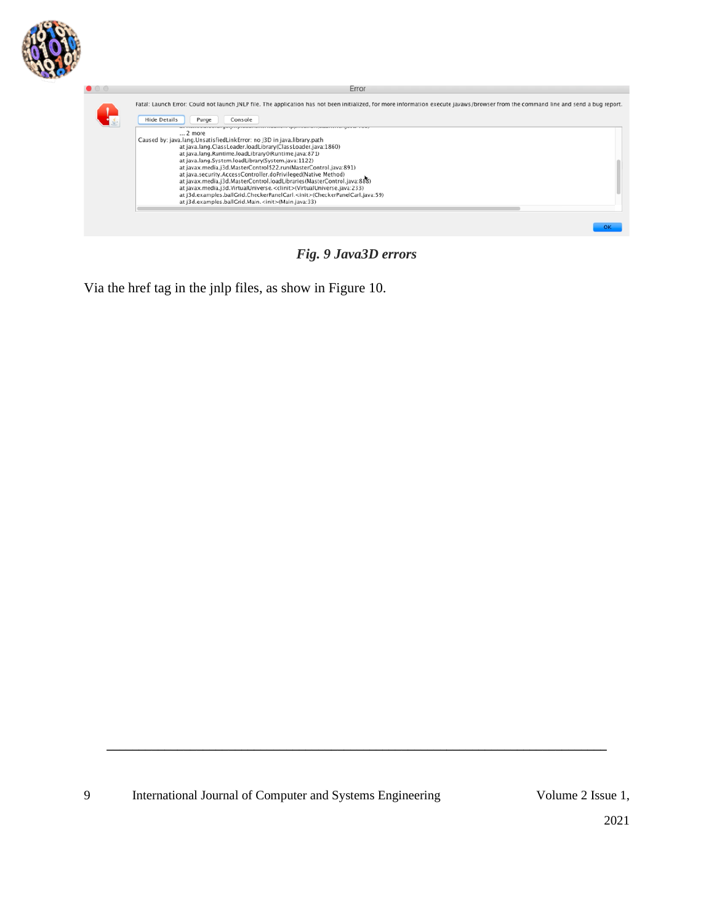

| Error<br>Fatal: Launch Error: Could not launch JNLP file. The application has not been initialized, for more information execute javaws/browser from the command line and send a bug report.                                                                                                                                                                                                                                                                                                                                                                                                                                                                                                                                                                                                                                                    |
|-------------------------------------------------------------------------------------------------------------------------------------------------------------------------------------------------------------------------------------------------------------------------------------------------------------------------------------------------------------------------------------------------------------------------------------------------------------------------------------------------------------------------------------------------------------------------------------------------------------------------------------------------------------------------------------------------------------------------------------------------------------------------------------------------------------------------------------------------|
| <b>Hide Details</b><br>Console<br>Purge<br>at necessare crongegings casherene magnetic gapheatronic agricultura gana, ne c<br>2 more<br>Caused by: java.lang.UnsatisfiedLinkError: no J3D in java.library.path<br>at java.lang.ClassLoader.loadLibrary(ClassLoader.java:1860)<br>at java.lang.Runtime.loadLibrary0(Runtime.java:871)<br>at java.lang.System.loadLibrary(System.java:1122)<br>at javax.media.j3d.MasterControl\$22.run(MasterControl.java:891)<br>at java.security.AccessController.doPrivileged(Native Method)<br>at javax.media.j3d.MasterControl.loadLibraries(MasterControl.java:888)<br>at javax.media.j3d.VirtualUniverse. <clinit>(VirtualUniverse.java:233)<br/>at i3d.examples.ballGrid.CheckerPanelCarl.<init>(CheckerPanelCarl.java:59)<br/>at j3d.examples.ballGrid.Main.<init>(Main.java:33)</init></init></clinit> |
|                                                                                                                                                                                                                                                                                                                                                                                                                                                                                                                                                                                                                                                                                                                                                                                                                                                 |

*Fig. 9 Java3D errors*

Via the href tag in the jnlp files, as show in Figure 10.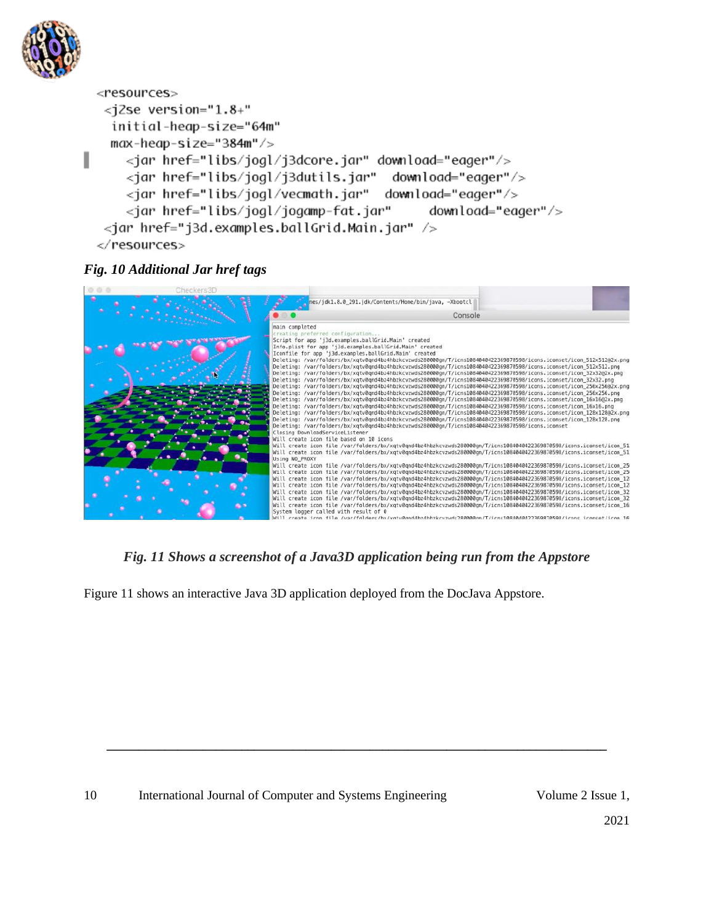

```
<resources>
  <jZse version="1.8+"
   initial-heap-size="64m"
   max-heap-size="384m"/>
П
     <jar href="libs/jogl/j3dcore.jar" download="eager"/>
     <jar href="libs/jogl/j3dutils.jar" download="eager"/>
     <jar href="libs/jogl/vecmath.jar" download="eager"/>
     <jar href="libs/jogl/jogamp-fat.jar"
                                               download="eager"/>
  <jar href="j3d.examples.ballGrid.Main.jar" />
 </resources>
```
#### *Fig. 10 Additional Jar href tags*

| Checkers3D |                                                                                                                                                                                                                                                  |                                                                                                                                                                                                                                                                                                                                                                                                                                                                                                                                                                                                                                                                                                                                                                                                                                                                                                                                                                                                                                                                                                                                                                                                                                                                                                                                                                                                                                                                                                              |
|------------|--------------------------------------------------------------------------------------------------------------------------------------------------------------------------------------------------------------------------------------------------|--------------------------------------------------------------------------------------------------------------------------------------------------------------------------------------------------------------------------------------------------------------------------------------------------------------------------------------------------------------------------------------------------------------------------------------------------------------------------------------------------------------------------------------------------------------------------------------------------------------------------------------------------------------------------------------------------------------------------------------------------------------------------------------------------------------------------------------------------------------------------------------------------------------------------------------------------------------------------------------------------------------------------------------------------------------------------------------------------------------------------------------------------------------------------------------------------------------------------------------------------------------------------------------------------------------------------------------------------------------------------------------------------------------------------------------------------------------------------------------------------------------|
|            |                                                                                                                                                                                                                                                  | nes/jdk1.8.0_291.jdk/Contents/Home/bin/java, -Xbootcl<br>Console                                                                                                                                                                                                                                                                                                                                                                                                                                                                                                                                                                                                                                                                                                                                                                                                                                                                                                                                                                                                                                                                                                                                                                                                                                                                                                                                                                                                                                             |
|            |                                                                                                                                                                                                                                                  |                                                                                                                                                                                                                                                                                                                                                                                                                                                                                                                                                                                                                                                                                                                                                                                                                                                                                                                                                                                                                                                                                                                                                                                                                                                                                                                                                                                                                                                                                                              |
|            | main completed<br>creating preferred configuration<br>Script for app 'j3d.examples.ballGrid.Main' created<br>Iconfile for app 'i3d.examples.ballGrid.Main' created<br>Closing DownloadServiceListener<br>Will create icon file based on 10 icons | Info.plist for app 'j3d.examples.ballGrid.Main' created<br>Deleting: /var/folders/bx/xgtv8gnd4bz4hbzkcvzwds280000gn/T/icns1084040422369870598/icons.iconset/icon 512x512@2x.png<br>Deleting: /var/folders/bx/xgtv0qnd4bz4hbzkcvzwds280000qn/T/icns1084040422369870598/icons.iconset/icon 512x512.png<br>Deleting: /var/folders/bx/xqtv0qnd4bz4hbzkcvzwds280000qn/T/icns1084040422369870598/icons.iconset/icon 32x3202x.png<br>Deleting: /var/folders/bx/xgtv0gnd4bz4hbzkcvzwds280000gn/T/icns1084040422369870598/icons.iconset/icon 32x32.png<br>Deleting: /var/folders/bx/xgtv0gnd4bz4hbzkcvzwds280000gn/T/icns1084040422369870598/icons.iconset/icon 256x256@2x.png<br>Deleting: /var/folders/bx/xqtv0qnd4bz4hbzkcvzwds280000qn/T/icns1084040422369870598/icons.iconset/icon 256x256.png<br>Deleting: /var/folders/bx/xqtv8qnd4bz4hbzkcvzwds280000qn/T/icns1084040422369870598/icons.iconset/icon 16x1602x.png<br>Deleting: /var/folders/bx/xqtv0qnd4bz4hbzkcvzwds280000gn/T/icns1084040422369870598/icons.iconset/icon_16x16.png<br>Deleting: /var/folders/bx/xqtv0qnd4bz4hbzkcvzwds280000qn/T/icns1084040422369870598/icons.iconset/icon_128x128@2x.png<br>Deleting: /var/folders/bx/xqtv0qnd4bz4hbzkcvzwds280000qn/T/icns1084040422369870598/icons.iconset/icon 128x128.pnq<br>Deleting: /var/folders/bx/xqtv0qnd4bz4hbzkcvzwds280000qn/T/icns1084040422369870598/icons.iconset<br>Will create icon file /var/folders/bx/xgtv0gnd4bz4hbzkcvzwds280000gn/T/icns1084040422369870598/icons.iconset/icon 51 |
|            | Using NO PROXY                                                                                                                                                                                                                                   | Will create icon file /var/folders/bx/xqtv8qnd4bz4hbzkcvzwds280000qn/T/icns1084040422369870598/icons.iconset/icon 51                                                                                                                                                                                                                                                                                                                                                                                                                                                                                                                                                                                                                                                                                                                                                                                                                                                                                                                                                                                                                                                                                                                                                                                                                                                                                                                                                                                         |
|            |                                                                                                                                                                                                                                                  | Will create icon file /var/folders/bx/xqtv0qnd4bz4hbzkcvzwds280000qn/T/icns1084040422369870598/icons.iconset/icon 25<br>Will create icon file /var/folders/bx/xqtv0qnd4bz4hbzkcvzwds280000qn/T/icns1084040422369870598/icons.iconset/icon 25<br>Will create icon file /var/folders/bx/xqtv0qnd4bz4hbzkcvzwds280000qn/T/icns1084040422369870598/icons.iconset/icon 12<br>Will create icon file /var/folders/bx/xqtv8qnd4bz4hbzkcvzwds280000qn/T/icns1084040422369870598/icons.iconset/icon 12<br>Will create icon file /var/folders/bx/xqtv0qnd4bz4hbzkcvzwds280000qn/T/icns1084040422369870598/icons.iconset/icon 32                                                                                                                                                                                                                                                                                                                                                                                                                                                                                                                                                                                                                                                                                                                                                                                                                                                                                         |
|            | System logger called with result of 0                                                                                                                                                                                                            | Will create icon file /var/folders/bx/xqtv0qnd4bz4hbzkcvzwds280000qn/T/icns1084040422369870598/icons.iconset/icon 32<br>Will create icon file /var/folders/bx/xqtv0qnd4bz4hbzkcvzwds280000qn/T/icns1084040422369870598/icons.iconset/icon 16:<br>Will create icon file /uar/folderc/by/votu@ondAbzAbbzkcuzudc2RRRRRan/T/icoc1RRARAAA222EQRTREQR/icons_iconset/icon_16                                                                                                                                                                                                                                                                                                                                                                                                                                                                                                                                                                                                                                                                                                                                                                                                                                                                                                                                                                                                                                                                                                                                        |

#### *Fig. 11 Shows a screenshot of a Java3D application being run from the Appstore*

**\_\_\_\_\_\_\_\_\_\_\_\_\_\_\_\_\_\_\_\_\_\_\_\_\_\_\_\_\_\_\_\_\_\_\_\_\_\_\_\_\_\_\_\_\_\_\_\_\_\_\_\_\_\_\_\_\_\_\_\_\_\_\_\_\_\_\_\_\_\_\_\_\_\_\_\_\_\_**

Figure 11 shows an interactive Java 3D application deployed from the DocJava Appstore.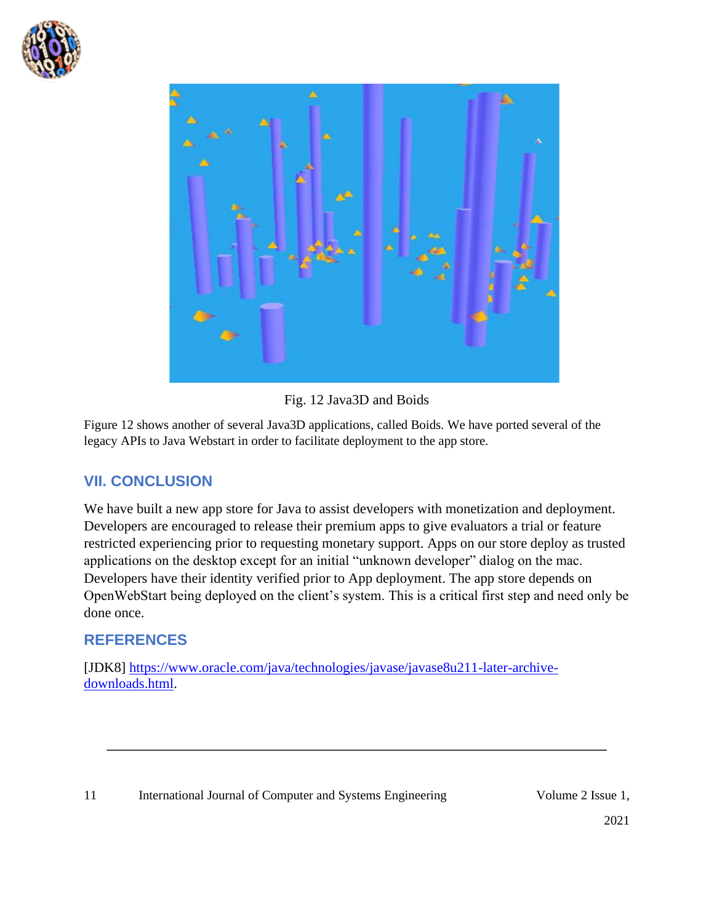



Fig. 12 Java3D and Boids

Figure 12 shows another of several Java3D applications, called Boids. We have ported several of the legacy APIs to Java Webstart in order to facilitate deployment to the app store.

#### **VII. CONCLUSION**

We have built a new app store for Java to assist developers with monetization and deployment. Developers are encouraged to release their premium apps to give evaluators a trial or feature restricted experiencing prior to requesting monetary support. Apps on our store deploy as trusted applications on the desktop except for an initial "unknown developer" dialog on the mac. Developers have their identity verified prior to App deployment. The app store depends on OpenWebStart being deployed on the client's system. This is a critical first step and need only be done once.

**\_\_\_\_\_\_\_\_\_\_\_\_\_\_\_\_\_\_\_\_\_\_\_\_\_\_\_\_\_\_\_\_\_\_\_\_\_\_\_\_\_\_\_\_\_\_\_\_\_\_\_\_\_\_\_\_\_\_\_\_\_\_\_\_\_\_\_\_\_\_\_\_\_\_\_\_\_\_**

# **REFERENCES**

[JDK8] [https://www.oracle.com/java/technologies/javase/javase8u211-later-archive](https://www.oracle.com/java/technologies/javase/javase8u211-later-archive-downloads.html)[downloads.html.](https://www.oracle.com/java/technologies/javase/javase8u211-later-archive-downloads.html)